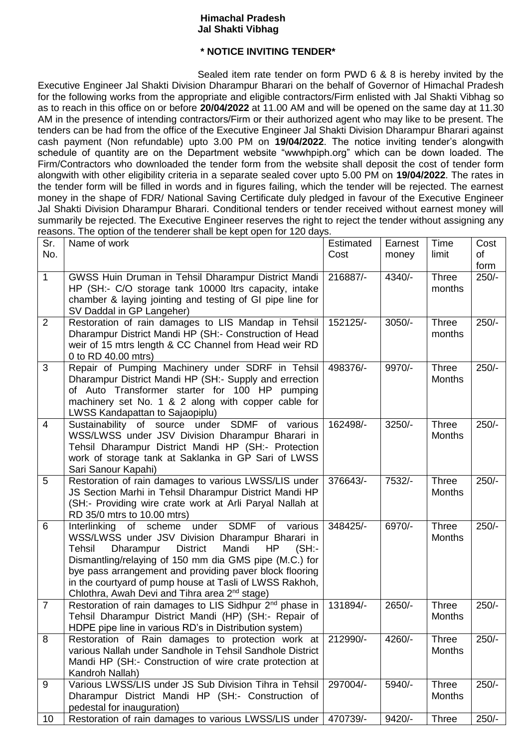## **Himachal Pradesh Jal Shakti Vibhag**

## **\* NOTICE INVITING TENDER\***

Sealed item rate tender on form PWD 6 & 8 is hereby invited by the Executive Engineer Jal Shakti Division Dharampur Bharari on the behalf of Governor of Himachal Pradesh for the following works from the appropriate and eligible contractors/Firm enlisted with Jal Shakti Vibhag so as to reach in this office on or before **20/04/2022** at 11.00 AM and will be opened on the same day at 11.30 AM in the presence of intending contractors/Firm or their authorized agent who may like to be present. The tenders can be had from the office of the Executive Engineer Jal Shakti Division Dharampur Bharari against cash payment (Non refundable) upto 3.00 PM on **19/04/2022**. The notice inviting tender's alongwith schedule of quantity are on the Department website "wwwhpiph.org" which can be down loaded. The Firm/Contractors who downloaded the tender form from the website shall deposit the cost of tender form alongwith with other eligibility criteria in a separate sealed cover upto 5.00 PM on **19/04/2022**. The rates in the tender form will be filled in words and in figures failing, which the tender will be rejected. The earnest money in the shape of FDR/ National Saving Certificate duly pledged in favour of the Executive Engineer Jal Shakti Division Dharampur Bharari. Conditional tenders or tender received without earnest money will summarily be rejected. The Executive Engineer reserves the right to reject the tender without assigning any reasons. The option of the tenderer shall be kept open for 120 days.

| Sr.<br>No.     | Name of work                                                                                                                                                                                                                                                                                                                                                                                                   | Estimated<br>Cost | Earnest<br>money | Time<br>limit                 | Cost<br>of |
|----------------|----------------------------------------------------------------------------------------------------------------------------------------------------------------------------------------------------------------------------------------------------------------------------------------------------------------------------------------------------------------------------------------------------------------|-------------------|------------------|-------------------------------|------------|
|                |                                                                                                                                                                                                                                                                                                                                                                                                                |                   |                  |                               | form       |
| $\mathbf{1}$   | GWSS Huin Druman in Tehsil Dharampur District Mandi<br>HP (SH:- C/O storage tank 10000 ltrs capacity, intake<br>chamber & laying jointing and testing of GI pipe line for<br>SV Daddal in GP Langeher)                                                                                                                                                                                                         | 216887/-          | 4340/-           | <b>Three</b><br>months        | $250/-$    |
| $\overline{2}$ | Restoration of rain damages to LIS Mandap in Tehsil<br>Dharampur District Mandi HP (SH:- Construction of Head<br>weir of 15 mtrs length & CC Channel from Head weir RD<br>0 to RD 40.00 mtrs)                                                                                                                                                                                                                  | 152125/-          | $3050/-$         | Three<br>months               | $250/-$    |
| 3              | Repair of Pumping Machinery under SDRF in Tehsil<br>Dharampur District Mandi HP (SH:- Supply and errection<br>of Auto Transformer starter for 100 HP pumping<br>machinery set No. 1 & 2 along with copper cable for<br>LWSS Kandapattan to Sajaopiplu)                                                                                                                                                         | 498376/-          | 9970/-           | Three<br><b>Months</b>        | $250/-$    |
| $\overline{4}$ | Sustainability of source under SDMF of various<br>WSS/LWSS under JSV Division Dharampur Bharari in<br>Tehsil Dharampur District Mandi HP (SH:- Protection<br>work of storage tank at Saklanka in GP Sari of LWSS<br>Sari Sanour Kapahi)                                                                                                                                                                        | 162498/-          | $3250/-$         | <b>Three</b><br><b>Months</b> | $250/-$    |
| 5              | Restoration of rain damages to various LWSS/LIS under<br>JS Section Marhi in Tehsil Dharampur District Mandi HP<br>(SH:- Providing wire crate work at Arli Paryal Nallah at<br>RD 35/0 mtrs to 10.00 mtrs)                                                                                                                                                                                                     | 376643/-          | 7532/-           | <b>Three</b><br><b>Months</b> | $250/-$    |
| 6              | Interlinking of scheme under SDMF of various<br>WSS/LWSS under JSV Division Dharampur Bharari in<br>Dharampur<br><b>District</b><br>Mandi<br>Tehsil<br>HP<br>(SH)<br>Dismantling/relaying of 150 mm dia GMS pipe (M.C.) for<br>bye pass arrangement and providing paver block flooring<br>in the courtyard of pump house at Tasli of LWSS Rakhoh,<br>Chlothra, Awah Devi and Tihra area 2 <sup>nd</sup> stage) | 348425/-          | 6970/-           | <b>Three</b><br><b>Months</b> | $250/-$    |
| $\overline{7}$ | Restoration of rain damages to LIS Sidhpur 2 <sup>nd</sup> phase in<br>Tehsil Dharampur District Mandi (HP) (SH:- Repair of<br>HDPE pipe line in various RD's in Distribution system)                                                                                                                                                                                                                          | 131894/-          | 2650/-           | Three<br><b>Months</b>        | $250/-$    |
| 8              | Restoration of Rain damages to protection work at<br>various Nallah under Sandhole in Tehsil Sandhole District<br>Mandi HP (SH:- Construction of wire crate protection at<br>Kandroh Nallah)                                                                                                                                                                                                                   | 212990/-          | 4260/-           | <b>Three</b><br><b>Months</b> | $250/-$    |
| 9              | Various LWSS/LIS under JS Sub Division Tihra in Tehsil<br>Dharampur District Mandi HP (SH:- Construction of<br>pedestal for inauguration)                                                                                                                                                                                                                                                                      | 297004/-          | 5940/-           | Three<br><b>Months</b>        | $250/-$    |
| 10             | Restoration of rain damages to various LWSS/LIS under                                                                                                                                                                                                                                                                                                                                                          | 470739/-          | $9420/-$         | <b>Three</b>                  | $250/-$    |